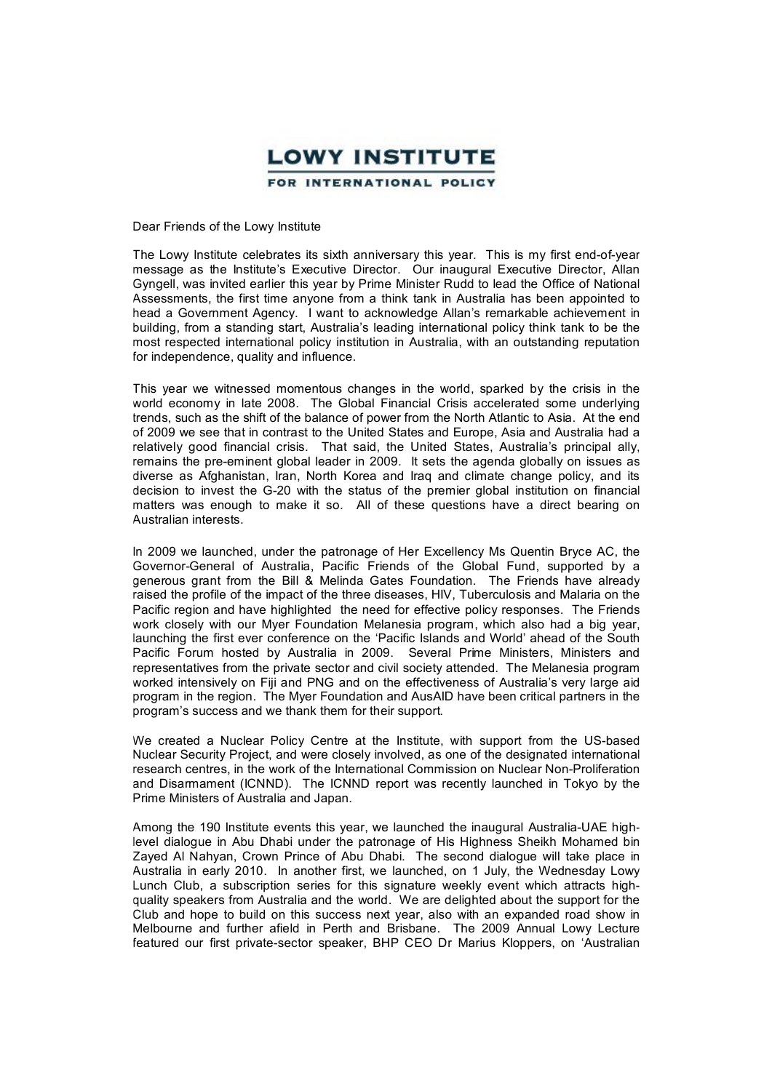

Dear Friends of the Lowy Institute

The Lowy Institute celebrates its sixth anniversary this year. This is my first end-of-year message as the Institute's Executive Director. Our inaugural Executive Director, Allan Gyngell, was invited earlier this year by Prime Minister Rudd to lead the Office of National Assessments, the first time anyone from a think tank in Australia has been appointed to head a Government Agency. I want to acknowledge Allan's remarkable achievement in building, from astanding start, Australia's leading international policy think tank to be the most respected international policy institution in Australia, with an outstanding reputation for independence, quality and influence.

This year we witnessed momentous changes in the world, sparked by the crisis in the world economy in late 2008. The Global Financial Crisis accelerated some underlying trends, such as the shift of the balance of power from the North Atlantic to Asia. At the end of 2009 we see that in contrast to the United States and Europe, Asia and Australia had a relatively good financial crisis. That said, the United States, Australia's principal ally, remains the pre-eminent global leader in 2009. It sets the agenda globally on issues as diverse as Afghanistan, Iran, North Korea and Iraq and climate change policy, and its decision to invest the G20 with the status of the premier global institution on financial matters was enough to make it so. All of these questions have a direct bearing on Australian interests.

In 2009 we launched, under the patronage of Her Excellency Ms Quentin Bryce AC, the GovernorGeneral of Australia, Pacific Friends of the Global Fund, supported by a generous grant from the Bill & Melinda Gates Foundation. The Friends have already raised the profile of the impact of the three diseases, HIV, Tuberculosis and Malaria on the Pacific region and have highlighted the need for effective policy responses. The Friends work closely with our Myer Foundation Melanesia program, which also had a big year, launching the first ever conference on the 'Pacific Islands and World' ahead of the South Pacific Forum hosted by Australia in 2009. Several Prime Ministers, Ministers and representatives from the private sector and civil society attended. The Melanesia program worked intensively on Fiji and PNG and on the effectiveness of Australia's very large aid program in the region. The Myer Foundation and AusAID have been critical partners in the program's success and we thank them for their support.

We created a Nuclear Policy Centre at the Institute, with support from the US-based Nuclear Security Project, and were closely involved, as one of the designated international research centres, in the work of the International Commission on Nuclear Non-Proliferation and Disarmament (ICNND). The ICNND report was recently launched in Tokyo by the Prime Ministers of Australia and Japan.

Among the 190 Institute events this year, we launched the inaugural Australia-UAE highlevel dialogue in Abu Dhabi under the patronage of His Highness Sheikh Mohamed bin Zayed Al Nahyan, Crown Prince of Abu Dhabi. The second dialogue will take place in Australia in early 2010. In another first, we launched, on 1 July, the Wednesday Lowy Lunch Club, a subscription series for this signature weekly event which attracts highquality speakers from Australia and the world. We are delighted about the support for the Club and hope to build on this success next year, also with an expanded road show in Melbourne and further afield in Perth and Brisbane. The 2009 Annual Lowy Lecture featured our first private-sector speaker, BHP CEO Dr Marius Kloppers, on 'Australian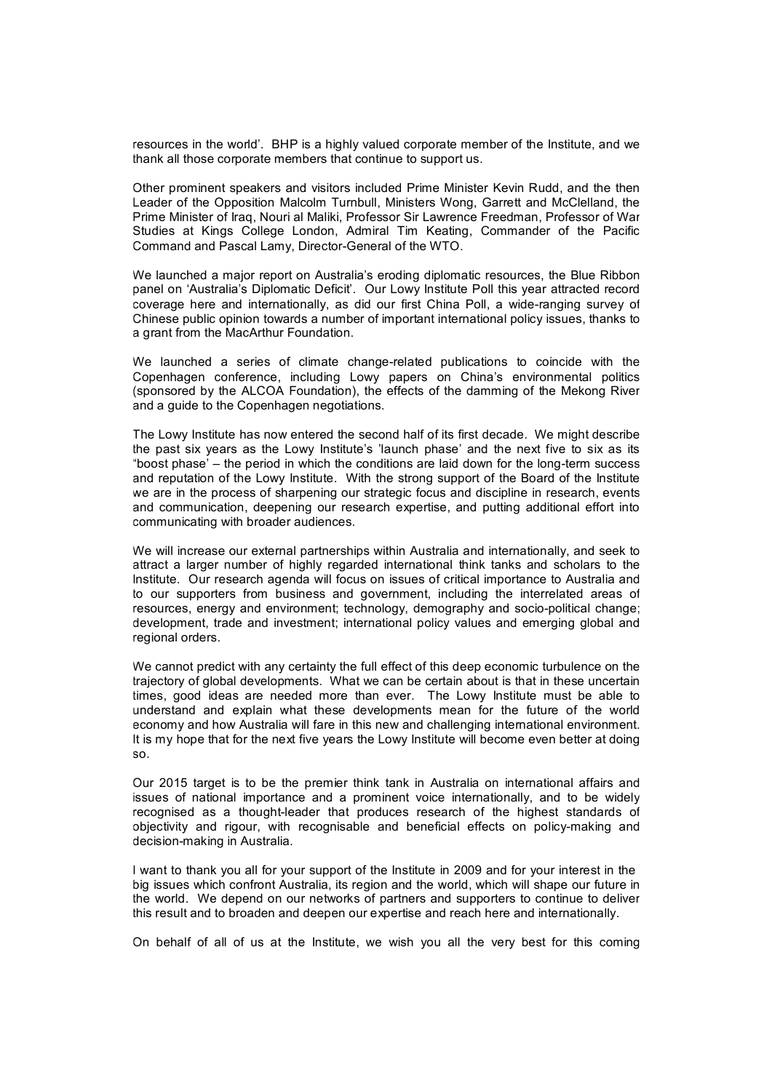resources in the world'. BHP is a highly valued corporate member of the Institute, and we thank all those corporate members that continue to support us.

Other prominent speakers and visitors included Prime Minister Kevin Rudd, and the then Leader of the Opposition Malcolm Turnbull, Ministers Wong, Garrett and McClelland, the Prime Minister of Iraq, Nouri al Maliki, Professor Sir Lawrence Freedman, Professor of War Leader of the Opposition Malcolm Turnbull, Ministers Wong, Garrett and McClelland, the<br>Prime Minister of Iraq, Nouri al Maliki, Professor Sir Lawrence Freedman, Professor of War<br>Studies at Kings College London, Admiral Tim Command and Pascal Lamy, Director-General of the WTO.

We launched a major report on Australia's eroding diplomatic resources, the Blue Ribbon panel on 'Australia's Diplomatic Deficit'. Our Lowy Institute Poll this year attracted record We launched a major report on Australia's eroding diplomatic resources, the Blue Ribbon<br>panel on 'Australia's Diplomatic Deficit'. Our Lowy Institute Poll this year attracted record<br>coverage here and internationally, as di Chinese public opinion towards a number of important international policy issues, thanks to a grant from the MacArthur Foundation.

We launched a series of climate change-related publications to coincide with the Copenhagen conference, including Lowy papers on China's environmental politics (sponsored by the ALCOA Foundation), the effects of the damming of the Mekong River and a guide to the Copenhagen negotiations.

The Lowy Institute has now entered the second half of its first decade. We might describe The Lowy Institute has now entered the second half of its first decade. We might describe<br>the past six years as the Lowy Institute's 'launch phase' and the next five to six as its<br>"boost phase' – the period in which the co "boost phase' – the period in which the conditions are laid down for the long-term success the past six years as the Lowy Institute's 'launch phase' and the next five to six as its<br>"boost phase' – the period in which the conditions are laid down for the long-term success<br>and reputation of the Lowy Institute. Wit we are in the process of sharpening our strategic focus and discipline in research, events and reputation of the Lowy Institute. With the strong support of the Board of the Institute we are in the process of sharpening our strategic focus and discipline in research, events and communication, deepening our resear communicating with broader audiences.

We will increase our external partnerships within Australia and internationally, and seek to We will increase our external partnerships within Australia and internationally, and seek to<br>attract a larger number of highly regarded international think tanks and scholars to the<br>Institute. Our research agenda w Institute. Our research agenda will focus on issues of critical importance to Australia and attract a larger number of highly regarded international think tanks and scholars to the<br>Institute. Our research agenda will focus on issues of critical importance to Australia and<br>to our supporters from business and gover Institute. Our research agenda will focus on issues of critical importance to Australia and<br>to our supporters from business and government, including the interrelated areas of<br>resources, energy and environment; technology, to our supporters from business and government, including the interrelated areas of<br>resources, energy and environment; technology, demography and socio-political change;<br>development, trade and investment; international p regional orders.

We cannot predict with any certainty the full effect of this deep economic turbulence on the trajectory of global developments. What we can be certain about is that in these uncertain times, good ideas are needed more than trajectory of global developments. What we can be certain about is that in these uncertain times, good ideas are needed more than ever. The Lowy Institute must be able to understand and explain what these developments mean for the future of the world economy and how Australia will fare in this new and challenging international environment. It is my hope that for the next five years the Lowy Institute will become even better at doing

so.<br>Our 2015 target is to be the premier think tank in Australia on international affairs and<br>issues of pational importance and a prominent voice internationally, and to be widely Our 2015 target is to be the premier think tank in Australia on international affairs and<br>issues of national importance and a prominent voice internationally, and to be widely<br>recognised as a thought-leader that produces r issues of national importance and a prominent voice internationally, and to be widely recognised as a thought-leader that produces research of the highest standards of objectivity and rigour, with recognisable and beneficial effects on policy-making and decision-making in Australia.

I want to thank you all for your support of the Institute in 2009 and for your interest in the big issues which confront Australia, its region and the world, which will shape our future in the world. We depend on our networks of partners and supporters to continue to deliver this result and to broaden and deepen our expertise and reach here and internationally.

On behalf of all of us at the Institute, we wish you all the very best for this coming